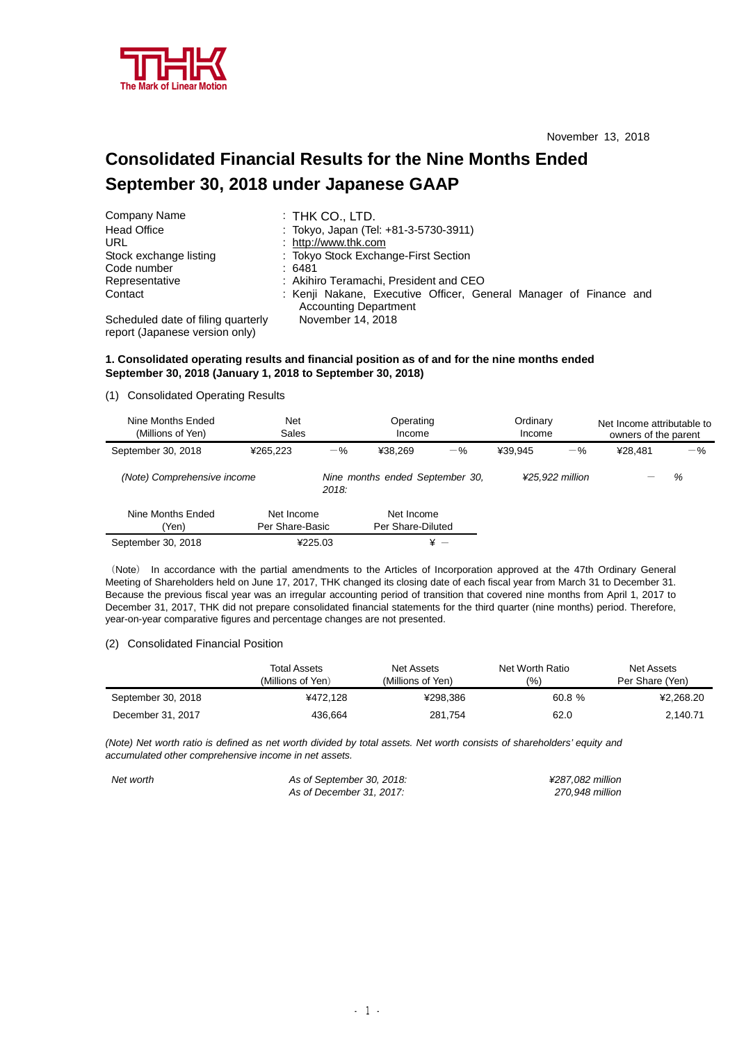

## **Consolidated Financial Results for the Nine Months Ended September 30, 2018 under Japanese GAAP**

| Company Name                                                         | $:$ THK CO., LTD.                                                                                 |
|----------------------------------------------------------------------|---------------------------------------------------------------------------------------------------|
| <b>Head Office</b>                                                   | : Tokyo, Japan (Tel: +81-3-5730-3911)                                                             |
| URL.                                                                 | : http://www.thk.com                                                                              |
| Stock exchange listing                                               | : Tokyo Stock Exchange-First Section                                                              |
| Code number                                                          | :6481                                                                                             |
| Representative                                                       | : Akihiro Teramachi, President and CEO                                                            |
| Contact                                                              | : Kenji Nakane, Executive Officer, General Manager of Finance and<br><b>Accounting Department</b> |
| Scheduled date of filing quarterly<br>report (Japanese version only) | November 14, 2018                                                                                 |

**1. Consolidated operating results and financial position as of and for the nine months ended September 30, 2018 (January 1, 2018 to September 30, 2018)**

(1) Consolidated Operating Results

| Nine Months Ended<br>(Millions of Yen) | <b>Net</b><br>Sales           |         | Operating<br>Income             |                 | Ordinary<br>Income |                 | Net Income attributable to<br>owners of the parent |       |
|----------------------------------------|-------------------------------|---------|---------------------------------|-----------------|--------------------|-----------------|----------------------------------------------------|-------|
| September 30, 2018                     | ¥265.223                      | $-$ %   | ¥38.269                         | $-$ %           | ¥39.945            | $-$ %           | ¥28.481                                            | $-$ % |
| (Note) Comprehensive income            |                               | 2018:   | Nine months ended September 30, |                 |                    | ¥25.922 million |                                                    | %     |
| Nine Months Ended<br>(Yen)             | Net Income<br>Per Share-Basic |         | Net Income<br>Per Share-Diluted |                 |                    |                 |                                                    |       |
| September 30, 2018                     |                               | ¥225.03 |                                 | $\frac{1}{2}$ - |                    |                 |                                                    |       |

(Note) In accordance with the partial amendments to the Articles of Incorporation approved at the 47th Ordinary General Meeting of Shareholders held on June 17, 2017, THK changed its closing date of each fiscal year from March 31 to December 31. Because the previous fiscal year was an irregular accounting period of transition that covered nine months from April 1, 2017 to December 31, 2017, THK did not prepare consolidated financial statements for the third quarter (nine months) period. Therefore, year-on-year comparative figures and percentage changes are not presented.

### (2) Consolidated Financial Position

|                    | Total Assets<br>(Millions of Yen) | Net Assets<br>(Millions of Yen) | Net Worth Ratio<br>(% | Net Assets<br>Per Share (Yen) |
|--------------------|-----------------------------------|---------------------------------|-----------------------|-------------------------------|
| September 30, 2018 | ¥472.128                          | ¥298.386                        | 60.8%                 | ¥2.268.20                     |
| December 31, 2017  | 436,664                           | 281.754                         | 62.0                  | 2,140.71                      |

(Note) Net worth ratio is defined as net worth divided by total assets. Net worth consists of shareholders' equity and *accumulated other comprehensive income in net assets.* 

*Net worth As of September 30, 2018: ¥287,082 million As of December 31, 2017: 270,948 million*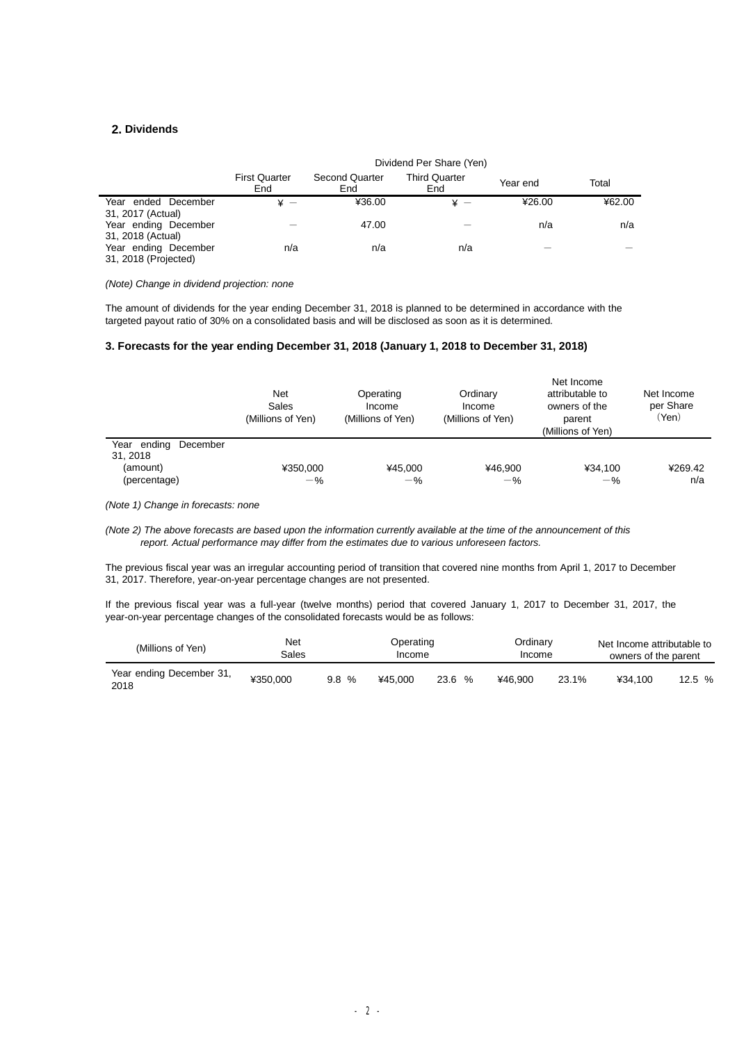## **2. Dividends**

|                                              | Dividend Per Share (Yen)    |                              |                             |          |        |  |
|----------------------------------------------|-----------------------------|------------------------------|-----------------------------|----------|--------|--|
|                                              | <b>First Quarter</b><br>End | <b>Second Quarter</b><br>End | <b>Third Quarter</b><br>End | Year end | Total  |  |
| Year ended December<br>31, 2017 (Actual)     | ¥ —                         | ¥36.00                       |                             | ¥26.00   | ¥62.00 |  |
| Year ending December<br>31, 2018 (Actual)    |                             | 47.00                        |                             | n/a      | n/a    |  |
| Year ending December<br>31, 2018 (Projected) | n/a                         | n/a                          | n/a                         |          |        |  |

#### *(Note) Change in dividend projection: none*

The amount of dividends for the year ending December 31, 2018 is planned to be determined in accordance with the targeted payout ratio of 30% on a consolidated basis and will be disclosed as soon as it is determined.

## **3. Forecasts for the year ending December 31, 2018 (January 1, 2018 to December 31, 2018)**

|                                                                 | Net<br>Sales<br>(Millions of Yen) | Operating<br>Income<br>(Millions of Yen) | Ordinary<br>Income<br>(Millions of Yen) | Net Income<br>attributable to<br>owners of the<br>parent<br>(Millions of Yen) | Net Income<br>per Share<br>(Yen) |
|-----------------------------------------------------------------|-----------------------------------|------------------------------------------|-----------------------------------------|-------------------------------------------------------------------------------|----------------------------------|
| Year ending<br>December<br>31, 2018<br>(amount)<br>(percentage) | ¥350.000<br>$-$ %                 | ¥45.000<br>$-$ %                         | ¥46,900<br>$-$ %                        | ¥34,100<br>$-$ %                                                              | ¥269.42<br>n/a                   |

*(Note 1) Change in forecasts: none* 

(Note 2) The above forecasts are based upon the information currently available at the time of the announcement of this *report. Actual performance may differ from the estimates due to various unforeseen factors.* 

The previous fiscal year was an irregular accounting period of transition that covered nine months from April 1, 2017 to December 31, 2017. Therefore, year-on-year percentage changes are not presented.

If the previous fiscal year was a full-year (twelve months) period that covered January 1, 2017 to December 31, 2017, the year-on-year percentage changes of the consolidated forecasts would be as follows:

| (Millions of Yen)                | <b>Net</b><br>Sales |      | Operating<br>Income |        | Ordinary<br>Income |       | Net Income attributable to<br>owners of the parent |       |
|----------------------------------|---------------------|------|---------------------|--------|--------------------|-------|----------------------------------------------------|-------|
| Year ending December 31,<br>2018 | ¥350.000            | 9.8% | ¥45.000             | 23.6 % | ¥46.900            | 23.1% | ¥34.100                                            | 12.5% |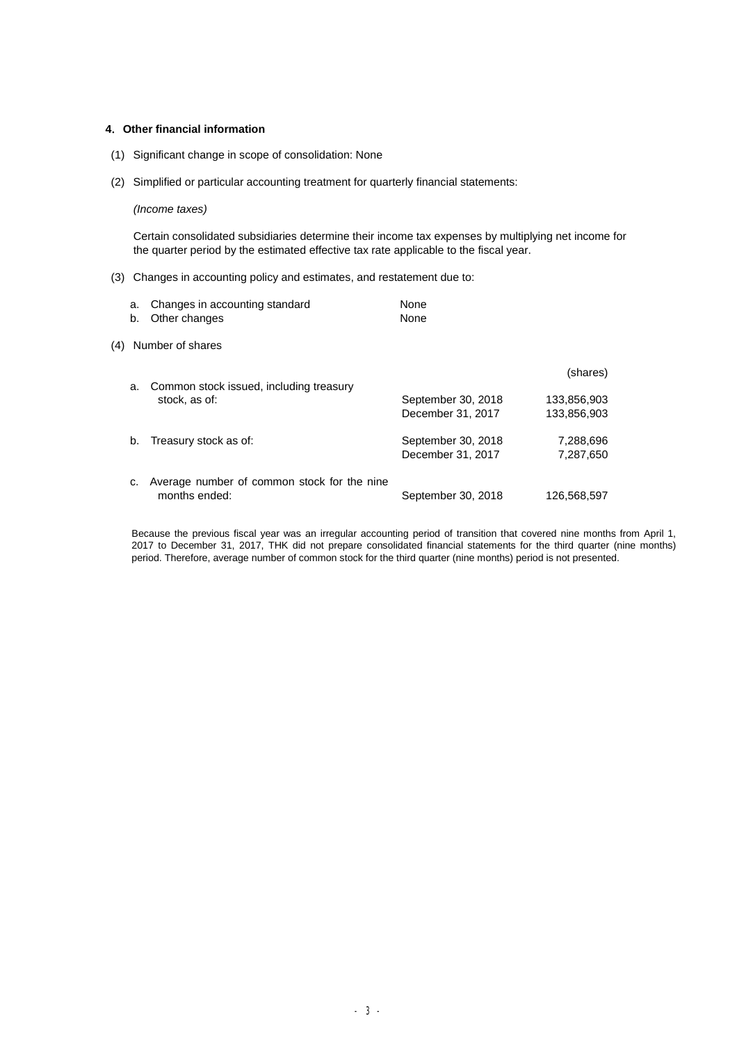### **4**.**Other financial information**

- (1) Significant change in scope of consolidation: None
- (2) Simplified or particular accounting treatment for quarterly financial statements:

#### *(Income taxes)*

Certain consolidated subsidiaries determine their income tax expenses by multiplying net income for the quarter period by the estimated effective tax rate applicable to the fiscal year.

(3) Changes in accounting policy and estimates, and restatement due to:

|     | a.<br>b. | Changes in accounting standard<br>Other changes              | None<br><b>None</b> |             |
|-----|----------|--------------------------------------------------------------|---------------------|-------------|
| (4) |          | Number of shares                                             |                     |             |
|     | a.       | Common stock issued, including treasury                      |                     | (shares)    |
|     |          | stock, as of:                                                | September 30, 2018  | 133.856.903 |
|     |          |                                                              | December 31, 2017   | 133.856.903 |
|     | b.       | Treasury stock as of:                                        | September 30, 2018  | 7,288,696   |
|     |          |                                                              | December 31, 2017   | 7,287,650   |
|     | c.       | Average number of common stock for the nine<br>months ended: | September 30, 2018  | 126,568,597 |

Because the previous fiscal year was an irregular accounting period of transition that covered nine months from April 1, 2017 to December 31, 2017, THK did not prepare consolidated financial statements for the third quarter (nine months) period. Therefore, average number of common stock for the third quarter (nine months) period is not presented.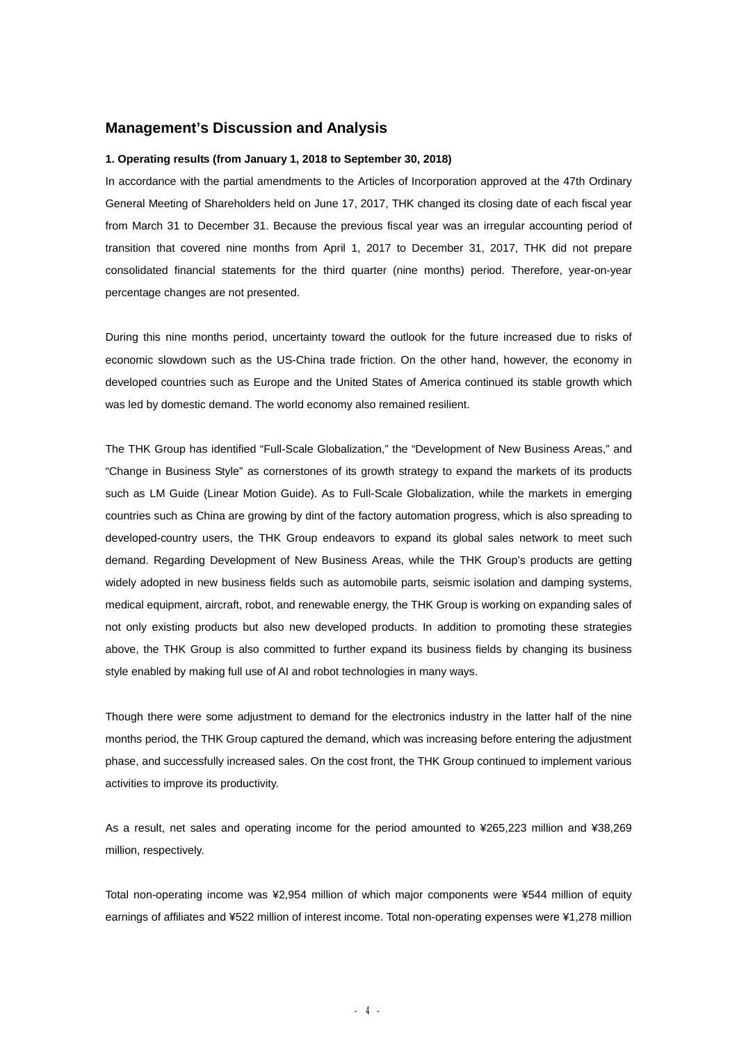## **Management's Discussion and Analysis**

#### **1. Operating results (from January 1, 2018 to September 30, 2018)**

In accordance with the partial amendments to the Articles of Incorporation approved at the 47th Ordinary General Meeting of Shareholders held on June 17, 2017, THK changed its closing date of each fiscal year from March 31 to December 31. Because the previous fiscal year was an irregular accounting period of transition that covered nine months from April 1, 2017 to December 31, 2017, THK did not prepare consolidated financial statements for the third quarter (nine months) period. Therefore, year-on-year percentage changes are not presented.

During this nine months period, uncertainty toward the outlook for the future increased due to risks of economic slowdown such as the US-China trade friction. On the other hand, however, the economy in developed countries such as Europe and the United States of America continued its stable growth which was led by domestic demand. The world economy also remained resilient.

The THK Group has identified "Full-Scale Globalization," the "Development of New Business Areas," and "Change in Business Style" as cornerstones of its growth strategy to expand the markets of its products such as LM Guide (Linear Motion Guide). As to Full-Scale Globalization, while the markets in emerging countries such as China are growing by dint of the factory automation progress, which is also spreading to developed-country users, the THK Group endeavors to expand its global sales network to meet such demand. Regarding Development of New Business Areas, while the THK Group's products are getting widely adopted in new business fields such as automobile parts, seismic isolation and damping systems, medical equipment, aircraft, robot, and renewable energy, the THK Group is working on expanding sales of not only existing products but also new developed products. In addition to promoting these strategies above, the THK Group is also committed to further expand its business fields by changing its business style enabled by making full use of AI and robot technologies in many ways.

Though there were some adjustment to demand for the electronics industry in the latter half of the nine months period, the THK Group captured the demand, which was increasing before entering the adjustment phase, and successfully increased sales. On the cost front, the THK Group continued to implement various activities to improve its productivity.

As a result, net sales and operating income for the period amounted to ¥265,223 million and ¥38,269 million, respectively.

Total non-operating income was ¥2,954 million of which major components were ¥544 million of equity earnings of affiliates and ¥522 million of interest income. Total non-operating expenses were ¥1,278 million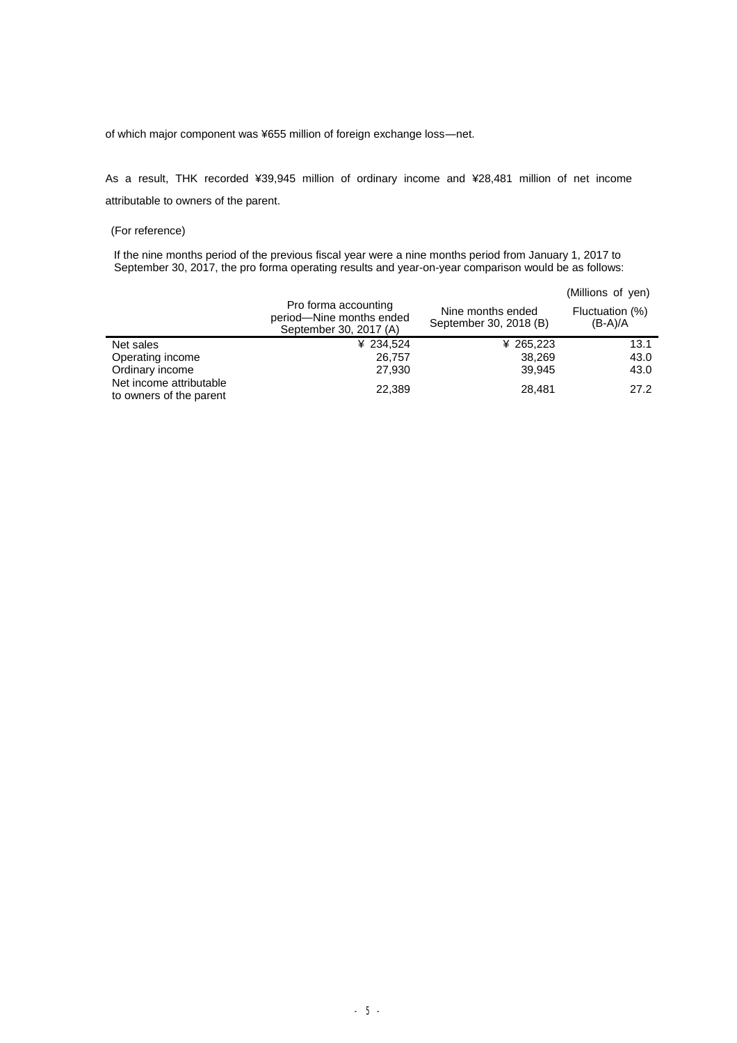of which major component was ¥655 million of foreign exchange loss―net.

As a result, THK recorded ¥39,945 million of ordinary income and ¥28,481 million of net income attributable to owners of the parent.

## (For reference)

If the nine months period of the previous fiscal year were a nine months period from January 1, 2017 to September 30, 2017, the pro forma operating results and year-on-year comparison would be as follows:

|                                                    | Pro forma accounting<br>period-Nine months ended<br>September 30, 2017 (A) | Nine months ended<br>September 30, 2018 (B) | (Millions of yen)<br>Fluctuation (%)<br>$(B-A)/A$ |
|----------------------------------------------------|----------------------------------------------------------------------------|---------------------------------------------|---------------------------------------------------|
| Net sales                                          | ¥ 234.524                                                                  | ¥ 265,223                                   | 13.1                                              |
| Operating income                                   | 26,757                                                                     | 38.269                                      | 43.0                                              |
| Ordinary income                                    | 27,930                                                                     | 39.945                                      | 43.0                                              |
| Net income attributable<br>to owners of the parent | 22.389                                                                     | 28,481                                      | 27.2                                              |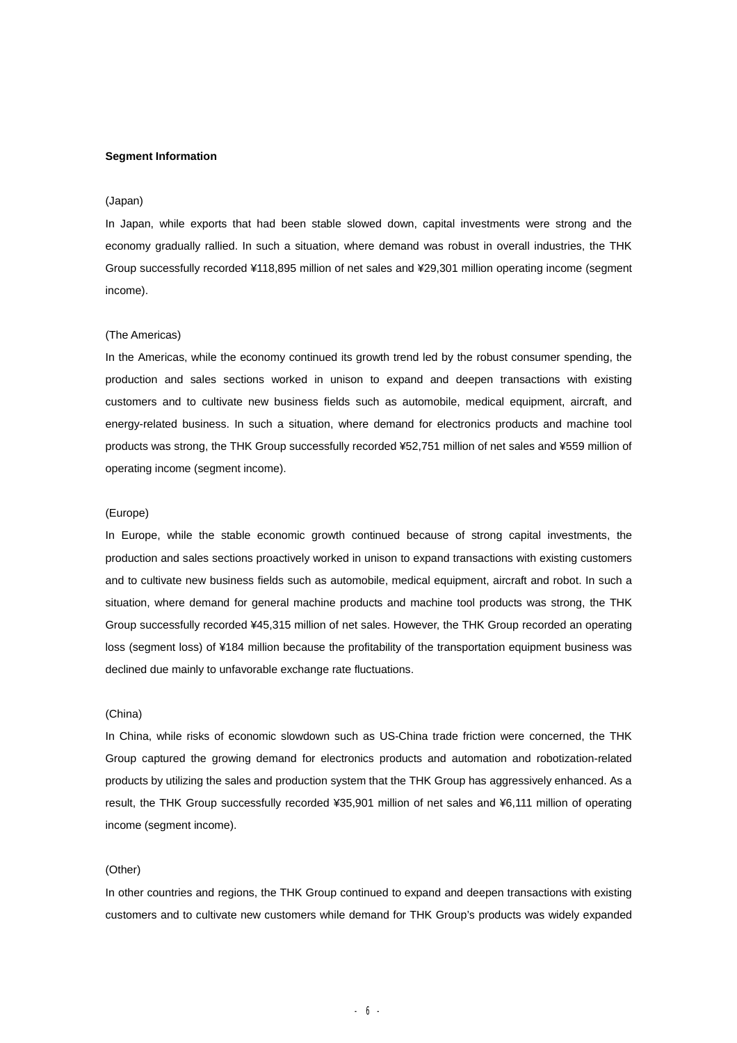#### **Segment Information**

#### (Japan)

In Japan, while exports that had been stable slowed down, capital investments were strong and the economy gradually rallied. In such a situation, where demand was robust in overall industries, the THK Group successfully recorded ¥118,895 million of net sales and ¥29,301 million operating income (segment income).

#### (The Americas)

In the Americas, while the economy continued its growth trend led by the robust consumer spending, the production and sales sections worked in unison to expand and deepen transactions with existing customers and to cultivate new business fields such as automobile, medical equipment, aircraft, and energy-related business. In such a situation, where demand for electronics products and machine tool products was strong, the THK Group successfully recorded ¥52,751 million of net sales and ¥559 million of operating income (segment income).

#### (Europe)

In Europe, while the stable economic growth continued because of strong capital investments, the production and sales sections proactively worked in unison to expand transactions with existing customers and to cultivate new business fields such as automobile, medical equipment, aircraft and robot. In such a situation, where demand for general machine products and machine tool products was strong, the THK Group successfully recorded ¥45,315 million of net sales. However, the THK Group recorded an operating loss (segment loss) of ¥184 million because the profitability of the transportation equipment business was declined due mainly to unfavorable exchange rate fluctuations.

#### (China)

In China, while risks of economic slowdown such as US-China trade friction were concerned, the THK Group captured the growing demand for electronics products and automation and robotization-related products by utilizing the sales and production system that the THK Group has aggressively enhanced. As a result, the THK Group successfully recorded ¥35,901 million of net sales and ¥6,111 million of operating income (segment income).

### (Other)

In other countries and regions, the THK Group continued to expand and deepen transactions with existing customers and to cultivate new customers while demand for THK Group's products was widely expanded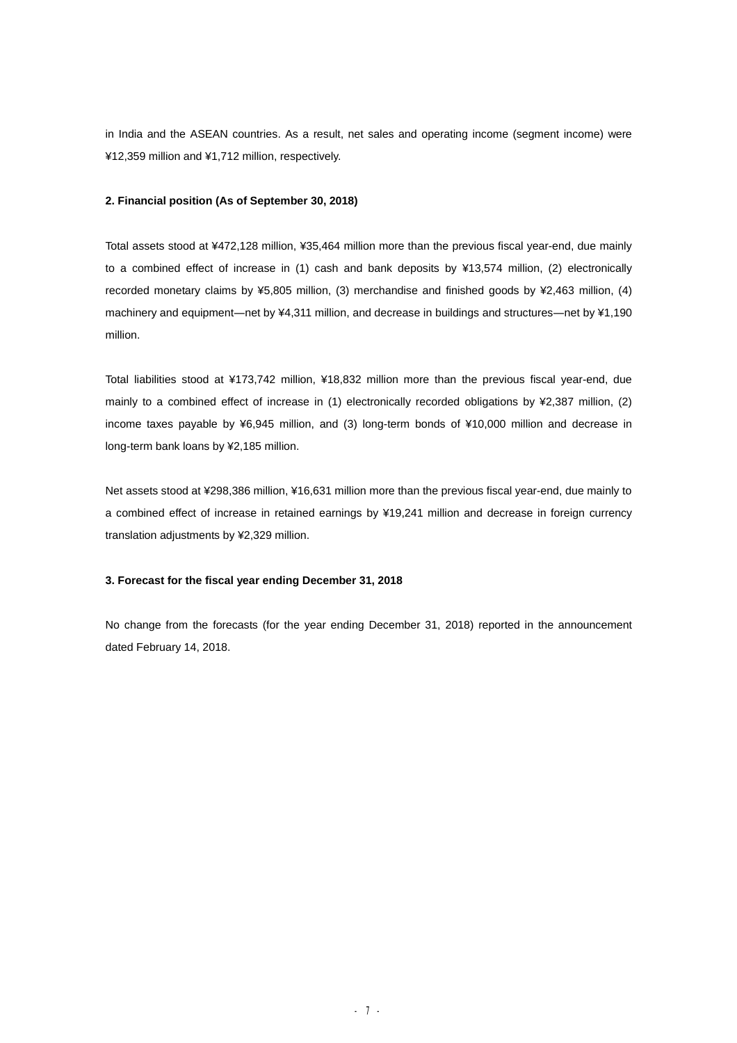in India and the ASEAN countries. As a result, net sales and operating income (segment income) were ¥12,359 million and ¥1,712 million, respectively.

### **2. Financial position (As of September 30, 2018)**

Total assets stood at ¥472,128 million, ¥35,464 million more than the previous fiscal year-end, due mainly to a combined effect of increase in (1) cash and bank deposits by ¥13,574 million, (2) electronically recorded monetary claims by ¥5,805 million, (3) merchandise and finished goods by ¥2,463 million, (4) machinery and equipment-net by ¥4,311 million, and decrease in buildings and structures-net by ¥1,190 million.

Total liabilities stood at ¥173,742 million, ¥18,832 million more than the previous fiscal year-end, due mainly to a combined effect of increase in (1) electronically recorded obligations by ¥2,387 million, (2) income taxes payable by ¥6,945 million, and (3) long-term bonds of ¥10,000 million and decrease in long-term bank loans by ¥2,185 million.

Net assets stood at ¥298,386 million, ¥16,631 million more than the previous fiscal year-end, due mainly to a combined effect of increase in retained earnings by ¥19,241 million and decrease in foreign currency translation adjustments by ¥2,329 million.

### **3. Forecast for the fiscal year ending December 31, 2018**

No change from the forecasts (for the year ending December 31, 2018) reported in the announcement dated February 14, 2018.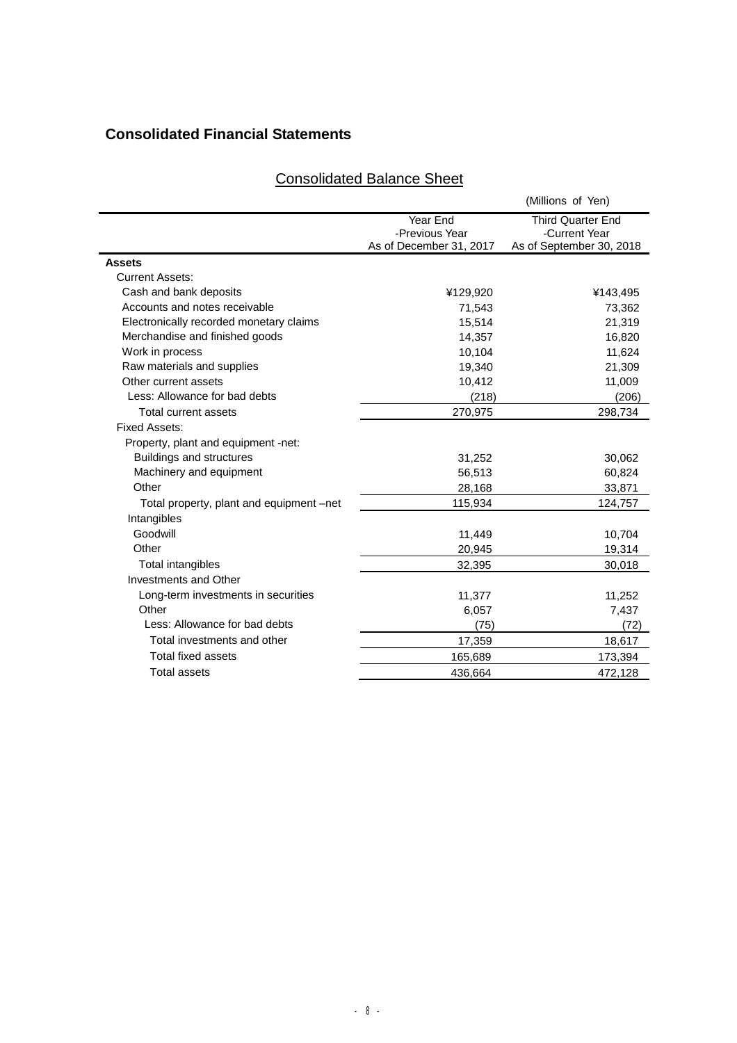## **Consolidated Financial Statements**

# Consolidated Balance Sheet

|                                          |                            | (Millions of Yen)                         |
|------------------------------------------|----------------------------|-------------------------------------------|
|                                          | Year End<br>-Previous Year | <b>Third Quarter End</b><br>-Current Year |
|                                          | As of December 31, 2017    | As of September 30, 2018                  |
| Assets                                   |                            |                                           |
| <b>Current Assets:</b>                   |                            |                                           |
| Cash and bank deposits                   | ¥129,920                   | ¥143,495                                  |
| Accounts and notes receivable            | 71,543                     | 73,362                                    |
| Electronically recorded monetary claims  | 15,514                     | 21,319                                    |
| Merchandise and finished goods           | 14,357                     | 16,820                                    |
| Work in process                          | 10,104                     | 11,624                                    |
| Raw materials and supplies               | 19,340                     | 21,309                                    |
| Other current assets                     | 10,412                     | 11,009                                    |
| Less: Allowance for bad debts            | (218)                      | (206)                                     |
| Total current assets                     | 270,975                    | 298,734                                   |
| <b>Fixed Assets:</b>                     |                            |                                           |
| Property, plant and equipment -net:      |                            |                                           |
| Buildings and structures                 | 31,252                     | 30,062                                    |
| Machinery and equipment                  | 56,513                     | 60,824                                    |
| Other                                    | 28,168                     | 33,871                                    |
| Total property, plant and equipment -net | 115,934                    | 124,757                                   |
| Intangibles                              |                            |                                           |
| Goodwill                                 | 11,449                     | 10,704                                    |
| Other                                    | 20,945                     | 19,314                                    |
| Total intangibles                        | 32,395                     | 30,018                                    |
| Investments and Other                    |                            |                                           |
| Long-term investments in securities      | 11,377                     | 11,252                                    |
| Other                                    | 6,057                      | 7,437                                     |
| Less: Allowance for bad debts            | (75)                       | (72)                                      |
| Total investments and other              | 17,359                     | 18,617                                    |
| <b>Total fixed assets</b>                | 165,689                    | 173,394                                   |
| <b>Total assets</b>                      | 436,664                    | 472,128                                   |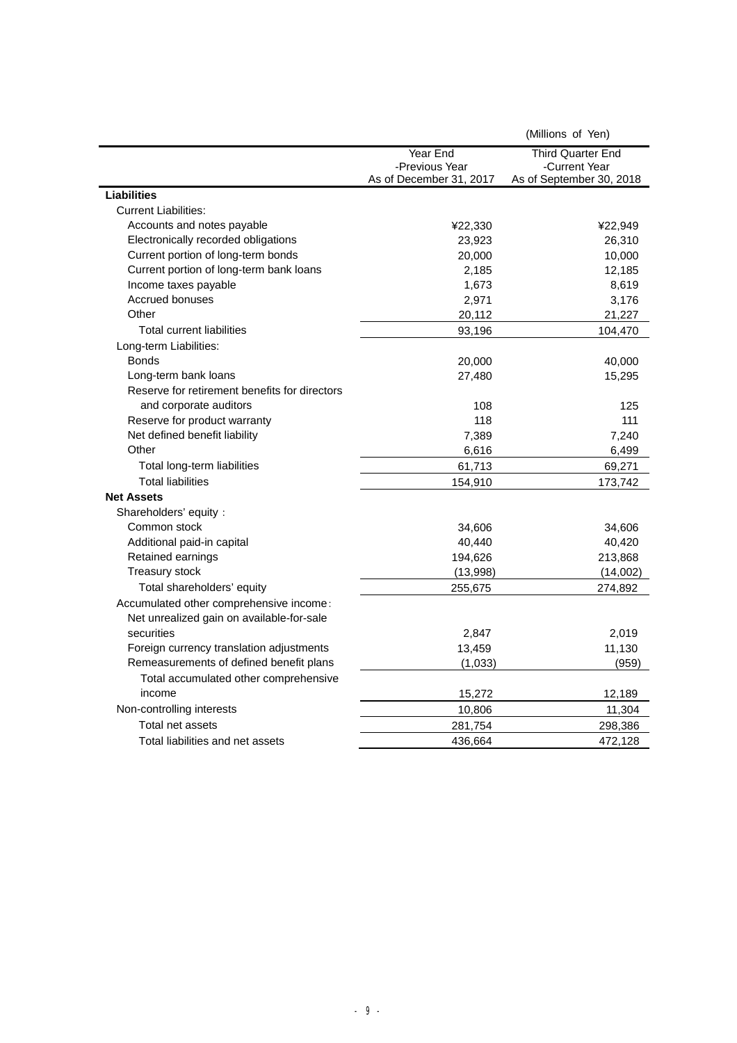|                                               |                         | (Millions of Yen)        |
|-----------------------------------------------|-------------------------|--------------------------|
|                                               | Year End                | Third Quarter End        |
|                                               | -Previous Year          | -Current Year            |
|                                               | As of December 31, 2017 | As of September 30, 2018 |
| <b>Liabilities</b>                            |                         |                          |
| <b>Current Liabilities:</b>                   |                         |                          |
| Accounts and notes payable                    | ¥22,330                 | ¥22,949                  |
| Electronically recorded obligations           | 23,923                  | 26,310                   |
| Current portion of long-term bonds            | 20,000                  | 10,000                   |
| Current portion of long-term bank loans       | 2,185                   | 12,185                   |
| Income taxes payable                          | 1,673                   | 8,619                    |
| <b>Accrued bonuses</b>                        | 2,971                   | 3,176                    |
| Other                                         | 20,112                  | 21,227                   |
| <b>Total current liabilities</b>              | 93,196                  | 104,470                  |
| Long-term Liabilities:                        |                         |                          |
| <b>Bonds</b>                                  | 20,000                  | 40,000                   |
| Long-term bank loans                          | 27,480                  | 15,295                   |
| Reserve for retirement benefits for directors |                         |                          |
| and corporate auditors                        | 108                     | 125                      |
| Reserve for product warranty                  | 118                     | 111                      |
| Net defined benefit liability                 | 7,389                   | 7,240                    |
| Other                                         | 6,616                   | 6,499                    |
| Total long-term liabilities                   | 61,713                  | 69,271                   |
| <b>Total liabilities</b>                      | 154,910                 | 173,742                  |
| <b>Net Assets</b>                             |                         |                          |
| Shareholders' equity:                         |                         |                          |
| Common stock                                  | 34,606                  | 34,606                   |
| Additional paid-in capital                    | 40,440                  | 40,420                   |
| Retained earnings                             | 194,626                 | 213,868                  |
| Treasury stock                                | (13,998)                | (14,002)                 |
| Total shareholders' equity                    | 255,675                 | 274,892                  |
| Accumulated other comprehensive income:       |                         |                          |
| Net unrealized gain on available-for-sale     |                         |                          |
| securities                                    | 2,847                   | 2,019                    |
| Foreign currency translation adjustments      | 13,459                  | 11,130                   |
| Remeasurements of defined benefit plans       | (1,033)                 | (959)                    |
| Total accumulated other comprehensive         |                         |                          |
| income                                        | 15,272                  | 12,189                   |
|                                               |                         |                          |
| Non-controlling interests<br>Total net assets | 10,806                  | 11,304                   |
|                                               | 281,754                 | 298,386                  |
| Total liabilities and net assets              | 436,664                 | 472,128                  |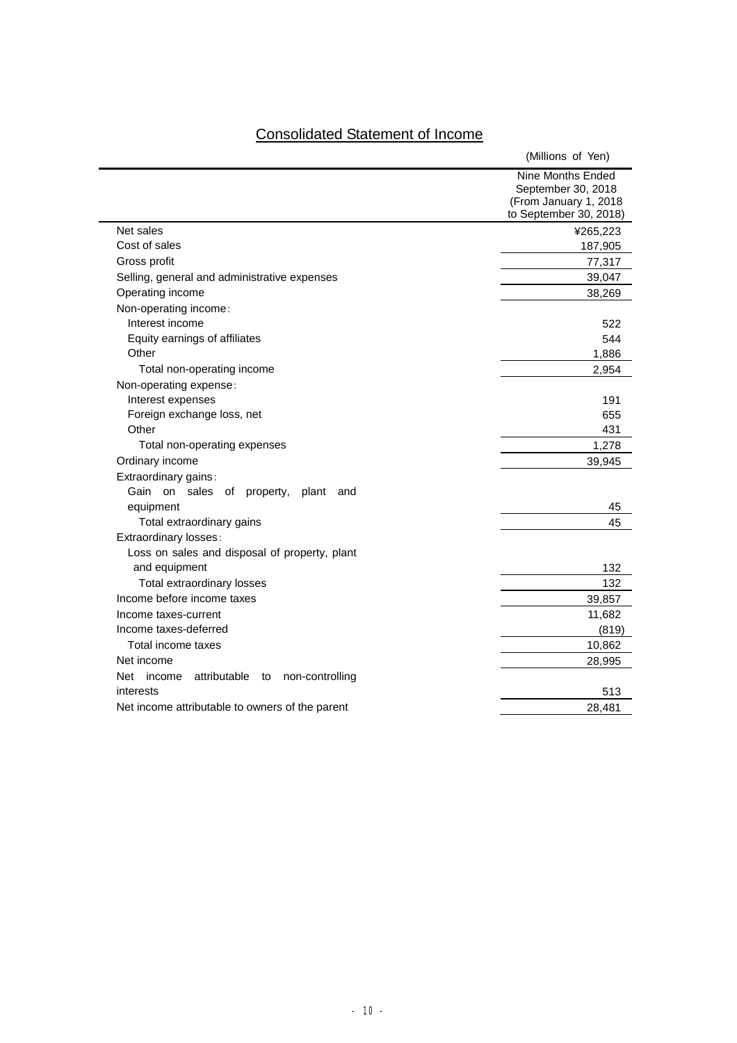| <b>Consolidated Statement of Income</b> |  |  |
|-----------------------------------------|--|--|
|                                         |  |  |

|                                                     | (Millions of Yen)                                                                          |
|-----------------------------------------------------|--------------------------------------------------------------------------------------------|
|                                                     | Nine Months Ended<br>September 30, 2018<br>(From January 1, 2018<br>to September 30, 2018) |
| Net sales                                           | ¥265,223                                                                                   |
| Cost of sales                                       | 187,905                                                                                    |
| Gross profit                                        | 77,317                                                                                     |
| Selling, general and administrative expenses        | 39,047                                                                                     |
| Operating income                                    | 38,269                                                                                     |
| Non-operating income:                               |                                                                                            |
| Interest income                                     | 522                                                                                        |
| Equity earnings of affiliates                       | 544                                                                                        |
| Other                                               | 1,886                                                                                      |
| Total non-operating income                          | 2,954                                                                                      |
| Non-operating expense:                              |                                                                                            |
| Interest expenses                                   | 191                                                                                        |
| Foreign exchange loss, net                          | 655                                                                                        |
| Other                                               | 431                                                                                        |
| Total non-operating expenses                        | 1,278                                                                                      |
| Ordinary income                                     | 39,945                                                                                     |
| Extraordinary gains:                                |                                                                                            |
| Gain on<br>of property,<br>sales<br>plant and       |                                                                                            |
| equipment                                           | 45                                                                                         |
| Total extraordinary gains                           | 45                                                                                         |
| Extraordinary losses:                               |                                                                                            |
| Loss on sales and disposal of property, plant       |                                                                                            |
| and equipment                                       | 132                                                                                        |
| Total extraordinary losses                          | 132                                                                                        |
| Income before income taxes                          | 39,857                                                                                     |
| Income taxes-current                                | 11,682                                                                                     |
| Income taxes-deferred                               | (819)                                                                                      |
| Total income taxes                                  | 10,862                                                                                     |
| Net income                                          | 28,995                                                                                     |
| Net<br>income<br>attributable to<br>non-controlling |                                                                                            |
| interests                                           | 513                                                                                        |
| Net income attributable to owners of the parent     | 28,481                                                                                     |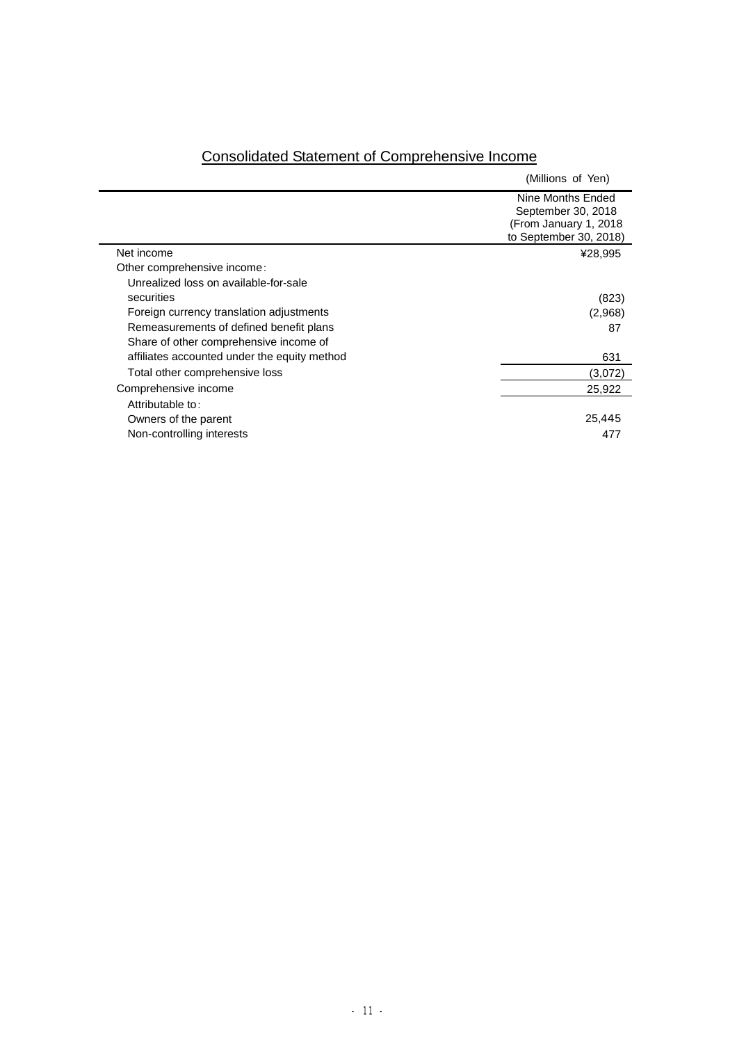|                                              | (Millions of Yen)                                                |  |  |
|----------------------------------------------|------------------------------------------------------------------|--|--|
|                                              | Nine Months Ended<br>September 30, 2018<br>(From January 1, 2018 |  |  |
|                                              | to September 30, 2018)                                           |  |  |
| Net income                                   | ¥28,995                                                          |  |  |
| Other comprehensive income:                  |                                                                  |  |  |
| Unrealized loss on available-for-sale        |                                                                  |  |  |
| securities                                   | (823)                                                            |  |  |
| Foreign currency translation adjustments     | (2,968)                                                          |  |  |
| Remeasurements of defined benefit plans      | 87                                                               |  |  |
| Share of other comprehensive income of       |                                                                  |  |  |
| affiliates accounted under the equity method | 631                                                              |  |  |
| Total other comprehensive loss               | (3,072)                                                          |  |  |
| Comprehensive income                         | 25,922                                                           |  |  |
| Attributable to:                             |                                                                  |  |  |
| Owners of the parent                         | 25,445                                                           |  |  |
| Non-controlling interests                    | 477                                                              |  |  |

## Consolidated Statement of Comprehensive Income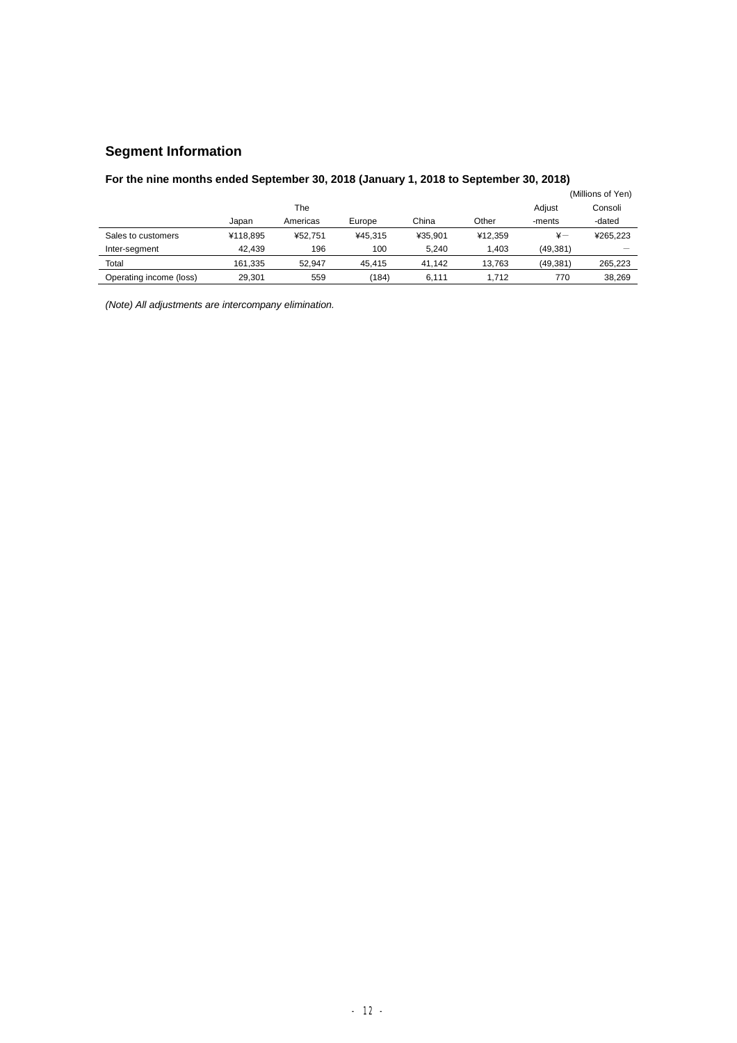## **Segment Information**

## **For the nine months ended September 30, 2018 (January 1, 2018 to September 30, 2018)**

|                         |          |          |         |         | (Millions of Yen) |           |          |
|-------------------------|----------|----------|---------|---------|-------------------|-----------|----------|
|                         |          | The      |         |         |                   | Adjust    | Consoli  |
|                         | Japan    | Americas | Europe  | China   | Other             | -ments    | -dated   |
| Sales to customers      | ¥118.895 | ¥52.751  | ¥45.315 | ¥35.901 | ¥12.359           | ¥-        | ¥265.223 |
| Inter-segment           | 42.439   | 196      | 100     | 5.240   | 1,403             | (49, 381) |          |
| Total                   | 161.335  | 52.947   | 45.415  | 41.142  | 13.763            | (49, 381) | 265.223  |
| Operating income (loss) | 29.301   | 559      | (184)   | 6,111   | 1.712             | 770       | 38.269   |

*(Note) All adjustments are intercompany elimination.*